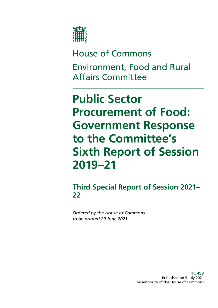

# House of Commons Environment, Food and Rural Affairs Committee

# **Public Sector Procurement of Food: Government Response to the Committee's Sixth Report of Session 2019–21**

## **Third Special Report of Session 2021– 22**

*Ordered by the House of Commons to be printed 29 June 2021*

> **HC 499** Published on 5 July 2021 by authority of the House of Commons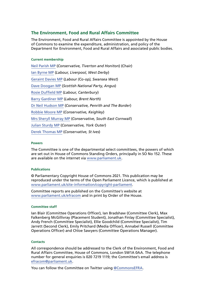### **The Environment, Food and Rural Affairs Committee**

The Environment, Food and Rural Affairs Committee is appointed by the House of Commons to examine the expenditure, administration, and policy of the Department for Environment, Food and Rural Affairs and associated public bodies.

#### **Current membership**

[Neil Parish MP](https://members.parliament.uk/member/4072/contact) (*Conservative, Tiverton and Honiton*) (Chair) [Ian Byrne MP](https://members.parliament.uk/member/4831/contact) (*Labour, Liverpool, West Derby*) [Geraint Davies MP](https://members.parliament.uk/member/155/contact) (*Labour (Co-op), Swansea West*) [Dave Doogan MP](https://members.parliament.uk/member/4736/contact) (*Scottish National Party, Angus*) [Rosie Duffield MP](https://members.parliament.uk/member/4616/contact) (*Labour, Canterbury*) [Barry Gardiner MP](https://members.parliament.uk/member/146/contact) (*Labour, Brent North*) [Dr Neil Hudson MP](https://members.parliament.uk/member/4853/contact) (*Conservative, Penrith and The Border*) [Robbie Moore MP](https://members.parliament.uk/member/4861/contact) (*Conservative, Keighley*) [Mrs Sheryll Murray MP](https://members.parliament.uk/member/4100/contact) (*Conservative, South East Cornwall*) [Julian Sturdy MP](https://members.parliament.uk/member/4079/contact) (*Conservative, York Outer*) [Derek Thomas MP](https://members.parliament.uk/member/4532/contact) (*Conservative, St Ives*)

#### **Powers**

The Committee is one of the departmental select committees, the powers of which are set out in House of Commons Standing Orders, principally in SO No 152. These are available on the internet via [www.parliament.uk.](http://www.parliament.uk)

#### **Publications**

© Parliamentary Copyright House of Commons 2021. This publication may be reproduced under the terms of the Open Parliament Licence, which is published at [www.parliament.uk/site-information/copyright-parliament.](https://www.parliament.uk/site-information/copyright-parliament/)

Committee reports are published on the Committee's website at [www.parliament.uk/efracom](http://www.parliament.uk/efracom) and in print by Order of the House.

#### **Committee staff**

Ian Blair (Committee Operations Officer), Ian Bradshaw (Committee Clerk), Max Falkenberg McGillivray (Placement Student), Jonathan Finlay (Committee Specialist), Andy French (Committee Specialist), Ellie Goodchild (Committee Specialist), Tim Jarrett (Second Clerk), Emily Pritchard (Media Officer), Annabel Russell (Committee Operations Officer) and Chloe Sawyers (Committee Operations Manager).

#### **Contacts**

All correspondence should be addressed to the Clerk of the Environment, Food and Rural Affairs Committee, House of Commons, London SW1A 0AA. The telephone number for general enquiries is 020 7219 1119; the Committee's email address is [efracom@parliament.uk](mailto:efracom%40parliament.uk?subject=).

You can follow the Committee on Twitter using [@CommonsEFRA.](https://twitter.com/CommonsEFRA?ref_src=twsrc%5Egoogle%7Ctwcamp%5Eserp%7Ctwgr%5Eauthor)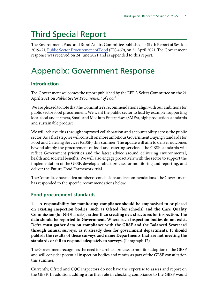# Third Special Report

The Environment, Food and Rural Affairs Committee published its Sixth Report of Session 2019–21, [Public Sector Procurement of Food](https://committees.parliament.uk/work/370/public-sector-procurement-of-food/) (HC 469), on 21 April 2021. The Government response was received on 24 June 2021 and is appended to this report.

# Appendix: Government Response

### **Introduction**

The Government welcomes the report published by the EFRA Select Committee on the 21 April 2021 on *Public Sector Procurement of Food*.

We are pleased to note that the Committee's recommendations align with our ambitions for public sector food procurement. We want the public sector to lead by example, supporting local food and farmers, Small and Medium Enterprises (SMEs), high production standards and sustainable produce.

We will achieve this through improved collaboration and accountability across the public sector. As a first step, we will consult on more ambitious Government Buying Standards for Food and Catering Services (GBSF) this summer. The update will aim to deliver outcomes beyond simply the procurement of food and catering services. The GBSF standards will reflect Government priorities and the latest advice around delivering environmental, health and societal benefits. We will also engage proactively with the sector to support the implementation of the GBSF, develop a robust process for monitoring and reporting, and deliver the Future Food Framework trial.

The Committee has made a number of conclusions and recommendations. The Government has responded to the specific recommendations below.

### **Food procurement standards**

1. **A responsibility for monitoring compliance should be emphasised to or placed on existing inspection bodies, such as Ofsted (for schools) and the Care Quality Commission (for NHS Trusts), rather than creating new structures for inspection. The data should be reported to Government. Where such inspection bodies do not exist, Defra must gather data on compliance with the GBSF and the Balanced Scorecard through annual surveys, as it already does for government departments. It should publish the results of these surveys and name Departments that are not meeting the standards or fail to respond adequately to surveys.** (Paragraph 17)

The Government recognises the need for a robust process to monitor adoption of the GBSF and will consider potential inspection bodies and remits as part of the GBSF consultation this summer.

Currently, Ofsted and CQC inspectors do not have the expertise to assess and report on the GBSF. In addition, adding a further role in checking compliance to the GBSF would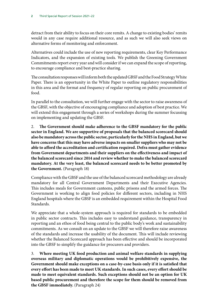detract from their ability to focus on their core remits. A change to existing bodies' remits would in any case require additional resource, and as such we will also seek views on alternative forms of monitoring and enforcement.

Alternatives could include the use of new reporting requirements, clear Key Performance Indicators, and the expansion of existing tools. We publish the Greening Government Commitments report every year and will consider if we can expand the scope of reporting, to encourage compliance and best-practice sharing.

The consultation responses will inform both the updated GBSF and the Food Strategy White Paper. There is an opportunity in the White Paper to outline regulatory responsibilities in this area and the format and frequency of regular reporting on public procurement of food.

In parallel to the consultation, we will further engage with the sector to raise awareness of the GBSF, with the objective of encouraging compliance and adoption of best practice. We will extend this engagement through a series of workshops during the summer focussing on implementing and updating the GBSF.

2. **The Government should make adherence to the GBSF mandatory for the public sector in England. We are supportive of proposals that the balanced scorecard should also be mandatory across the public sector, particularly for the NHS in England, but we have concerns that this may have adverse impacts on smaller suppliers who may not be able to afford the accreditation and certification required. Defra must gather evidence from Government departments and their suppliers on the effectiveness and impact of the balanced scorecard since 2014 and review whether to make the balanced scorecard mandatory. At the very least, the balanced scorecard needs to be better promoted by the Government.** (Paragraph 18)

Compliance with the GBSF and the use of the balanced scorecard methodology are already mandatory for all Central Government Departments and their Executive Agencies. This includes meals for Government canteens, public prisons and the armed forces. The Government is working to align food policies for different sectors, including in NHS England hospitals where the GBSF is an embedded requirement within the Hospital Food Standards.

We appreciate that a whole-system approach is required for standards to be embedded in public sector contracts. This includes easy to understand guidance, transparency in reporting and an ethos of food being central to the public body's work and sustainability commitments. As we consult on an update to the GBSF we will therefore raise awareness of the standards and increase the usability of the document. This will include reviewing whether the Balanced Scorecard approach has been effective and should be incorporated into the GBSF to simplify the guidance for procurers and providers.

3. **Where meeting UK food production and animal welfare standards in supplying overseas military and diplomatic operations would be prohibitively expensive, the Government should make exceptions on a case-by-case basis only if it is satisfied that every effort has been made to meet UK standards. In such cases, every effort should be made to meet equivalent standards. Such exceptions should not be an option for UK based public procurement and therefore the scope for them should be removed from the GBSF immediately.** (Paragraph 24)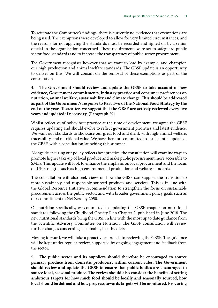To reiterate the Committee's findings, there is currently no evidence that exemptions are being used. The exemptions were developed to allow for very limited circumstances, and the reasons for not applying the standards must be recorded and signed off by a senior official in the organisation concerned. These requirements were set to safeguard public sector food standards and to increase the transparency of public sector procurement.

The Government recognises however that we want to lead by example, and champion our high production and animal welfare standards. The GBSF update is an opportunity to deliver on this. We will consult on the removal of these exemptions as part of the consultation.

4. T**he Government should review and update the GBSF to take account of new evidence, Government commitments, industry practice and consumer preferences on nutrition, animal welfare, sustainability and climate change. This should be addressed as part of the Government's response to Part Two of the National Food Strategy by the end of the year. Thereafter, we suggest that the GBSF are actively reviewed every five years and updated if necessary.** (Paragraph 29)

Whilst reflective of policy best practice at the time of development, we agree the GBSF requires updating and should evolve to reflect government priorities and latest evidence. We want our standards to showcase our great food and drink with high animal welfare, traceability, and nutritional value. We have therefore committed to a substantial update of the GBSF, with a consultation launching this summer.

Alongside ensuring our policy reflects best practice, the consultation will examine ways to promote higher take-up of local produce and make public procurement more accessible to SMEs. This update will look to enhance the emphasis on local procurement and the focus on UK strengths such as high environmental production and welfare standards.

The consultation will also seek views on how the GBSF can support the transition to more sustainably and responsibly-sourced products and services. This is in line with the Global Resource Initiative recommendation to strengthen the focus on sustainable procurement across the public sector, and with broader government policy goals such as our commitment to Net Zero by 2050.

On nutrition specifically, we committed to updating the GBSF chapter on nutritional standards following the Childhood Obesity Plan Chapter 2, published in June 2018. The new nutritional standards bring the GBSF in line with the most up to date guidance from the Scientific Advisory Committee on Nutrition. The GBSF consultation will review further changes concerning sustainable, healthy diets.

Moving forward, we will take a proactive approach to reviewing the GBSF. The guidance will be kept under regular review, supported by ongoing engagement and feedback from the sector.

5. **The public sector and its suppliers should therefore be encouraged to source primary produce from domestic producers, within current rules. The Government should review and update the GBSF to ensure that public bodies are encouraged to source local, seasonal produce. The review should also consider the benefits of setting ambitious targets for how much food should be locally and seasonally sourced, how local should be defined and how progress towards targets will be monitored. Procuring**